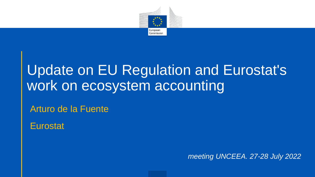

## Update on EU Regulation and Eurostat's work on ecosystem accounting

Arturo de la Fuente

**Eurostat** 

*meeting UNCEEA. 27-28 July 2022*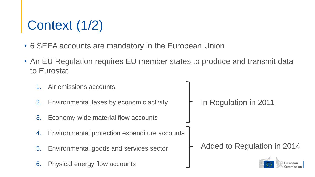# Context (1/2)

- 6 SEEA accounts are mandatory in the European Union
- An EU Regulation requires EU member states to produce and transmit data to Eurostat
	- Air emissions accounts 2. Environmental taxes by economic activity In Regulation in 2011 3. Economy-wide material flow accounts 4. Environmental protection expenditure accounts Added to Regulation in 20145. Environmental goods and services sector 6. Physical energy flow accounts European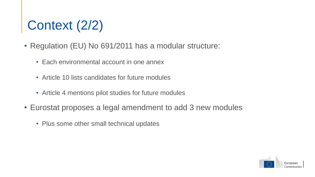## Context (2/2)

- Regulation (EU) No 691/2011 has a modular structure:
	- Each environmental account in one annex
	- Article 10 lists candidates for future modules
	- Article 4 mentions pilot studies for future modules
- Eurostat proposes a legal amendment to add 3 new modules
	- Plus some other small technical updates

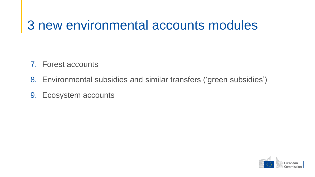#### 3 new environmental accounts modules

- 7. Forest accounts
- 8. Environmental subsidies and similar transfers ('green subsidies')
- 9. Ecosystem accounts

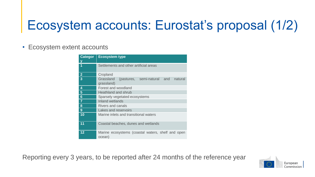## Ecosystem accounts: Eurostat's proposal (1/2)

#### • Ecosystem extent accounts

| <b>Categor</b> | <b>Ecosystem type</b>                                             |
|----------------|-------------------------------------------------------------------|
|                | Settlements and other artificial areas                            |
| $\mathbf{2}$   | Cropland                                                          |
| $\overline{3}$ | Grassland<br>(pastures, semi-natural and<br>natural<br>grassland) |
| 4              | Forest and woodland                                               |
| 5              | Heathland and shrub                                               |
| 6              | Sparsely vegetated ecosystems                                     |
| $\overline{7}$ | Inland wetlands                                                   |
| 8              | <b>Rivers and canals</b>                                          |
| 9              | Lakes and reservoirs                                              |
| 10             | Marine inlets and transitional waters                             |
| 11             | Coastal beaches, dunes and wetlands                               |
| 12             | Marine ecosystems (coastal waters, shelf and open<br>ocean)       |

Reporting every 3 years, to be reported after 24 months of the reference year

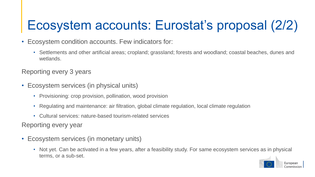## Ecosystem accounts: Eurostat's proposal (2/2)

- Ecosystem condition accounts. Few indicators for:
	- Settlements and other artificial areas; cropland; grassland; forests and woodland; coastal beaches, dunes and wetlands.

Reporting every 3 years

- Ecosystem services (in physical units)
	- Provisioning: crop provision, pollination, wood provision
	- Regulating and maintenance: air filtration, global climate regulation, local climate regulation
	- Cultural services: nature-based tourism-related services

Reporting every year

- Ecosystem services (in monetary units)
	- Not yet. Can be activated in a few years, after a feasibility study. For same ecosystem services as in physical terms, or a sub-set.

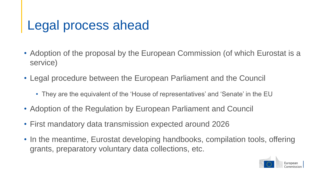#### Legal process ahead

- Adoption of the proposal by the European Commission (of which Eurostat is a service)
- Legal procedure between the European Parliament and the Council
	- They are the equivalent of the 'House of representatives' and 'Senate' in the EU
- Adoption of the Regulation by European Parliament and Council
- First mandatory data transmission expected around 2026
- In the meantime, Eurostat developing handbooks, compilation tools, offering grants, preparatory voluntary data collections, etc.